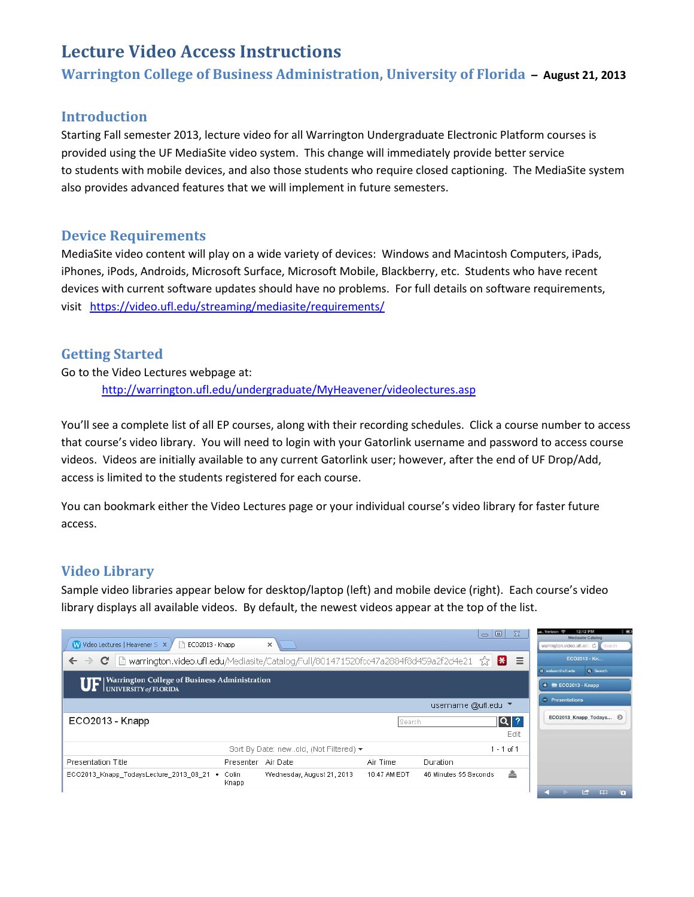# **Lecture Video Access Instructions**

**Warrington College of Business Administration, University of Florida – August 21, 2013**

### **Introduction**

Starting Fall semester 2013, lecture video for all Warrington Undergraduate Electronic Platform courses is provided using the UF MediaSite video system. This change will immediately provide better service to students with mobile devices, and also those students who require closed captioning. The MediaSite system also provides advanced features that we will implement in future semesters.

## **Device Requirements**

MediaSite video content will play on a wide variety of devices: Windows and Macintosh Computers, iPads, iPhones, iPods, Androids, Microsoft Surface, Microsoft Mobile, Blackberry, etc. Students who have recent devices with current software updates should have no problems. For full details on software requirements, visit <https://video.ufl.edu/streaming/mediasite/requirements/>

## **Getting Started**

Go to the Video Lectures webpage at: <http://warrington.ufl.edu/undergraduate/MyHeavener/videolectures.asp>

You'll see a complete list of all EP courses, along with their recording schedules. Click a course number to access that course's video library. You will need to login with your Gatorlink username and password to access course videos. Videos are initially available to any current Gatorlink user; however, after the end of UF Drop/Add, access is limited to the students registered for each course.

You can bookmark either the Video Lectures page or your individual course's video library for faster future access.

## **Video Library**

Sample video libraries appear below for desktop/laptop (left) and mobile device (right). Each course's video library displays all available videos. By default, the newest videos appear at the top of the list.

| W Video Lectures   Heavener Si X<br>$\Box$<br>ECO2013 - Knapp<br>$\times$                                                                   |              | $\equiv$              | $\infty$<br>$\Box$ | 12:12 PM<br><b>COL</b><br>Verizon<br>Mediasite Catalog<br>warrington.video.ufl.edu C Search |
|---------------------------------------------------------------------------------------------------------------------------------------------|--------------|-----------------------|--------------------|---------------------------------------------------------------------------------------------|
| heta-warrington.video.ufl.edu/Mediasite/Catalog/Full/801471520fcc47a2884f8d459a2f2d4e21 ☆<br>æ<br>$\equiv$<br>$\leftarrow$<br>$\rightarrow$ |              |                       |                    | ECO2013 - Kn                                                                                |
| <b>UF</b> Warrington College of Business Administration                                                                                     |              |                       |                    | Q Search<br><b>E eolson@ufl.edu</b><br>$+$ ECO2013 - Knapp                                  |
| username @ufl.edu ▼                                                                                                                         |              |                       |                    | $\blacksquare$ Presentations                                                                |
| ECO2013 - Knapp                                                                                                                             | lSearch.     |                       | $ \mathsf{Q} $ ?   | ECO2013_Knapp_Todays                                                                        |
|                                                                                                                                             |              |                       | Edit               |                                                                                             |
| Sort By Date: newold, (Not Filtered) ▼                                                                                                      |              |                       | $1 - 1$ of 1       |                                                                                             |
| Presentation Title<br>Air Date<br>Presenter                                                                                                 | Air Time     | Duration              |                    |                                                                                             |
| ECO2013_Knapp_TodaysLecture_2013_08_21<br>Wednesday, August 21, 2013<br>Colin<br>٠<br>Knapp                                                 | 10:47 AM EDT | 46 Minutes 55 Seconds | 촠                  | $\sqrt{6}$<br><b>T</b><br>$\mathbf{m}$                                                      |